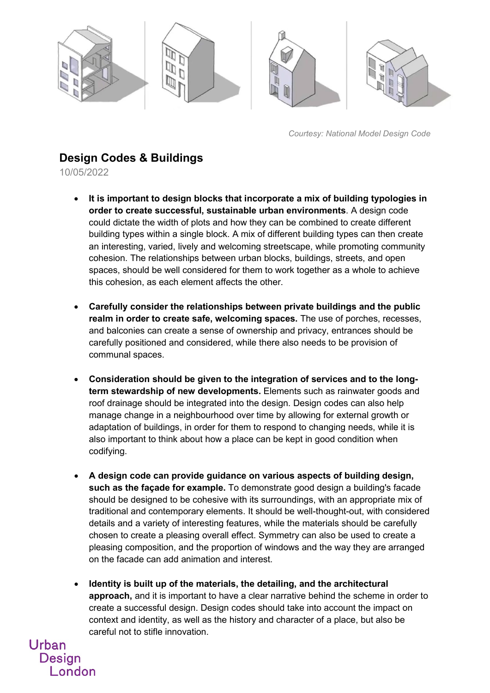

*Courtesy: National Model Design Code*

## **Design Codes & Buildings**

10/05/2022

Urban

**Design** 

London

- **It is important to design blocks that incorporate a mix of building typologies in order to create successful, sustainable urban environments**. A design code could dictate the width of plots and how they can be combined to create different building types within a single block. A mix of different building types can then create an interesting, varied, lively and welcoming streetscape, while promoting community cohesion. The relationships between urban blocks, buildings, streets, and open spaces, should be well considered for them to work together as a whole to achieve this cohesion, as each element affects the other.
- **Carefully consider the relationships between private buildings and the public realm in order to create safe, welcoming spaces.** The use of porches, recesses, and balconies can create a sense of ownership and privacy, entrances should be carefully positioned and considered, while there also needs to be provision of communal spaces.
- **Consideration should be given to the integration of services and to the longterm stewardship of new developments.** Elements such as rainwater goods and roof drainage should be integrated into the design. Design codes can also help manage change in a neighbourhood over time by allowing for external growth or adaptation of buildings, in order for them to respond to changing needs, while it is also important to think about how a place can be kept in good condition when codifying.
- **A design code can provide guidance on various aspects of building design, such as the façade for example.** To demonstrate good design a building's facade should be designed to be cohesive with its surroundings, with an appropriate mix of traditional and contemporary elements. It should be well-thought-out, with considered details and a variety of interesting features, while the materials should be carefully chosen to create a pleasing overall effect. Symmetry can also be used to create a pleasing composition, and the proportion of windows and the way they are arranged on the facade can add animation and interest.
- **Identity is built up of the materials, the detailing, and the architectural approach,** and it is important to have a clear narrative behind the scheme in order to create a successful design. Design codes should take into account the impact on context and identity, as well as the history and character of a place, but also be careful not to stifle innovation.